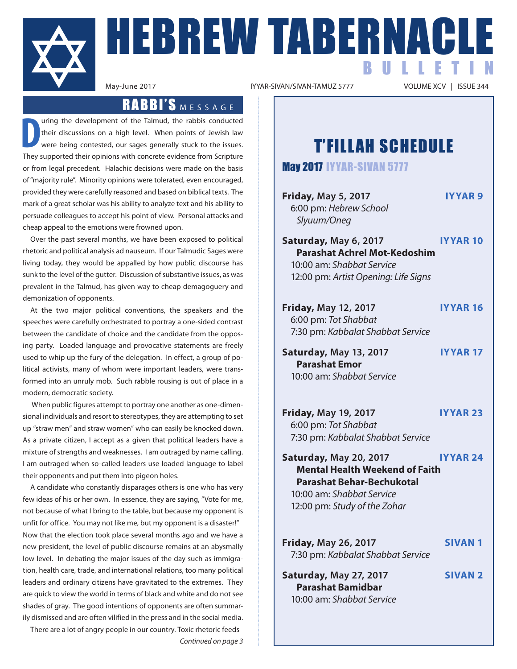

**HEBREW TABERNACLE** BULLETIN

IYYAR-SIVAN/SIVAN-TAMUZ 5777

### RABBI'S MESSAGE

**D** uring the development of the Talmud, the rabbis conducted their discussions on a high level. When points of Jewish law were being contested, our sages generally stuck to the issues. They supported their opinions with concrete evidence from Scripture or from legal precedent. Halachic decisions were made on the basis of "majority rule". Minority opinions were tolerated, even encouraged, provided they were carefully reasoned and based on biblical texts. The mark of a great scholar was his ability to analyze text and his ability to persuade colleagues to accept his point of view. Personal attacks and cheap appeal to the emotions were frowned upon.

Over the past several months, we have been exposed to political rhetoric and political analysis ad nauseum. If our Talmudic Sages were living today, they would be appalled by how public discourse has sunk to the level of the gutter. Discussion of substantive issues, as was prevalent in the Talmud, has given way to cheap demagoguery and demonization of opponents.

At the two major political conventions, the speakers and the speeches were carefully orchestrated to portray a one-sided contrast between the candidate of choice and the candidate from the opposing party. Loaded language and provocative statements are freely used to whip up the fury of the delegation. In effect, a group of political activists, many of whom were important leaders, were transformed into an unruly mob. Such rabble rousing is out of place in a modern, democratic society.

 When public figures attempt to portray one another as one-dimensional individuals and resort to stereotypes, they are attempting to set up "straw men" and straw women" who can easily be knocked down. As a private citizen, I accept as a given that political leaders have a mixture of strengths and weaknesses. I am outraged by name calling. I am outraged when so-called leaders use loaded language to label their opponents and put them into pigeon holes.

A candidate who constantly disparages others is one who has very few ideas of his or her own. In essence, they are saying, "Vote for me, not because of what I bring to the table, but because my opponent is unfit for office. You may not like me, but my opponent is a disaster!" Now that the election took place several months ago and we have a new president, the level of public discourse remains at an abysmally low level. In debating the major issues of the day such as immigration, health care, trade, and international relations, too many political leaders and ordinary citizens have gravitated to the extremes. They are quick to view the world in terms of black and white and do not see shades of gray. The good intentions of opponents are often summarily dismissed and are often vilified in the press and in the social media.

There are a lot of angry people in our country. Toxic rhetoric feeds *Continued on page 3*

### T'FILLAH SCHEDULE

May 2017 IYYAR-SIVAN 5777

| <b>Friday, May 5, 2017</b><br>6:00 pm: Hebrew School<br>Slyuum/Oneg                                                                                              | <b>IYYAR 9</b>  |
|------------------------------------------------------------------------------------------------------------------------------------------------------------------|-----------------|
| Saturday, May 6, 2017<br><b>Parashat Achrel Mot-Kedoshim</b><br>10:00 am: Shabbat Service<br>12:00 pm: Artist Opening: Life Signs                                | <b>IYYAR 10</b> |
| <b>Friday, May 12, 2017</b><br>6:00 pm: Tot Shabbat<br>7:30 pm: Kabbalat Shabbat Service                                                                         | <b>IYYAR16</b>  |
| Saturday, May 13, 2017<br><b>Parashat Emor</b><br>10:00 am: Shabbat Service                                                                                      | <b>IYYAR 17</b> |
| <b>Friday, May 19, 2017</b><br>6:00 pm: Tot Shabbat<br>7:30 pm: Kabbalat Shabbat Service                                                                         | <b>IYYAR 23</b> |
| Saturday, May 20, 2017<br><b>Mental Health Weekend of Faith</b><br><b>Parashat Behar-Bechukotal</b><br>10:00 am: Shabbat Service<br>12:00 pm: Study of the Zohar | <b>IYYAR 24</b> |
| <b>Friday, May 26, 2017</b><br>7:30 pm: Kabbalat Shabbat Service                                                                                                 | <b>SIVAN1</b>   |
| Saturday, May 27, 2017<br><b>Parashat Bamidbar</b><br>10:00 am: Shabbat Service                                                                                  | <b>SIVAN 2</b>  |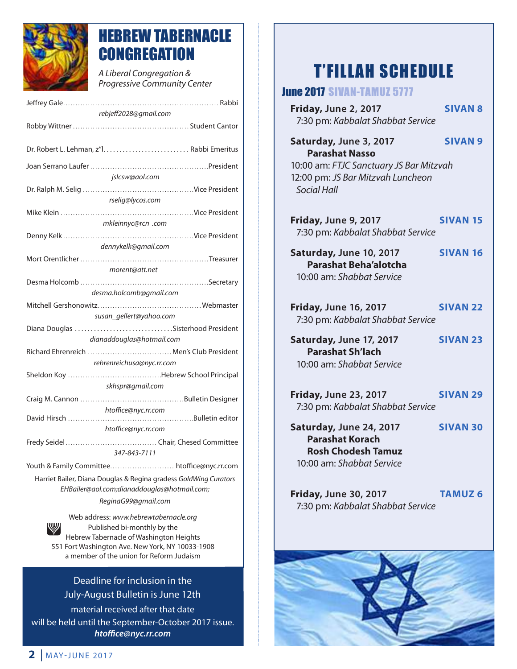

### HEBREW TABERNACLE **CONGREGATION**

*A Liberal Congregation & Progressive Community Center* 

| rebjeff2028@gmail.com                                            |  |  |  |  |  |
|------------------------------------------------------------------|--|--|--|--|--|
|                                                                  |  |  |  |  |  |
|                                                                  |  |  |  |  |  |
|                                                                  |  |  |  |  |  |
|                                                                  |  |  |  |  |  |
| jslcsw@aol.com                                                   |  |  |  |  |  |
|                                                                  |  |  |  |  |  |
| rselig@lycos.com                                                 |  |  |  |  |  |
|                                                                  |  |  |  |  |  |
| mkleinnyc@rcn .com                                               |  |  |  |  |  |
|                                                                  |  |  |  |  |  |
| dennykelk@gmail.com                                              |  |  |  |  |  |
|                                                                  |  |  |  |  |  |
| morent@att.net                                                   |  |  |  |  |  |
|                                                                  |  |  |  |  |  |
| desma.holcomb@gmail.com                                          |  |  |  |  |  |
|                                                                  |  |  |  |  |  |
| susan_gellert@yahoo.com                                          |  |  |  |  |  |
|                                                                  |  |  |  |  |  |
| dianaddouglas@hotmail.com                                        |  |  |  |  |  |
| Richard Ehrenreich  Men's Club President                         |  |  |  |  |  |
| rehrenreichusa@nyc.rr.com                                        |  |  |  |  |  |
|                                                                  |  |  |  |  |  |
| skhspr@gmail.com                                                 |  |  |  |  |  |
|                                                                  |  |  |  |  |  |
| htoffice@nyc.rr.com                                              |  |  |  |  |  |
| htoffice@nyc.rr.com                                              |  |  |  |  |  |
|                                                                  |  |  |  |  |  |
| 347-843-7111                                                     |  |  |  |  |  |
| Youth & Family Committee htoffice@nyc.rr.com                     |  |  |  |  |  |
| Harriet Bailer, Diana Douglas & Regina gradess GoldWing Curators |  |  |  |  |  |
| EHBailer@aol.com;dianaddouglas@hotmail.com;                      |  |  |  |  |  |
| ReginaG99@gmail.com                                              |  |  |  |  |  |
|                                                                  |  |  |  |  |  |

Web address: *www.hebrewtabernacle.org* W Published bi-monthly by the Hebrew Tabernacle of Washington Heights 551 Fort Washington Ave. New York, NY 10033-1908 a member of the union for Reform Judaism

### Deadline for inclusion in the July-August Bulletin is June 12th

material received after that date will be held until the September-October 2017 issue. *htoffice@nyc.rr.com*

### T'FILLAH SCHEDULE

### June 2017 SIVAN-TAMUZ 5777

| <b>Friday, June 2, 2017</b><br>7:30 pm: Kabbalat Shabbat Service                                                                               | <b>SIVAN 8</b>  |
|------------------------------------------------------------------------------------------------------------------------------------------------|-----------------|
| Saturday, June 3, 2017<br><b>Parashat Nasso</b><br>10:00 am: FTJC Sanctuary JS Bar Mitzvah<br>12:00 pm: JS Bar Mitzvah Luncheon<br>Social Hall | <b>SIVAN 9</b>  |
| Friday, June 9, 2017<br>7:30 pm: Kabbalat Shabbat Service                                                                                      | <b>SIVAN 15</b> |
| Saturday, June 10, 2017<br><b>Parashat Beha'alotcha</b><br>10:00 am: Shabbat Service                                                           | <b>SIVAN 16</b> |
| <b>Friday, June 16, 2017</b><br>7:30 pm: Kabbalat Shabbat Service                                                                              | <b>SIVAN 22</b> |
| Saturday, June 17, 2017<br><b>Parashat Sh'lach</b><br>10:00 am: Shabbat Service                                                                | <b>SIVAN 23</b> |
| <b>Friday, June 23, 2017</b><br>7:30 pm: Kabbalat Shabbat Service                                                                              | <b>SIVAN 29</b> |
| Saturday, June 24, 2017<br><b>Parashat Korach</b><br><b>Rosh Chodesh Tamuz</b><br>10:00 am: Shabbat Service                                    | <b>SIVAN 30</b> |
| <b>Friday, June 30, 2017</b><br>7:30 pm: Kabbalat Shabbat Service                                                                              | <b>TAMUZ 6</b>  |
|                                                                                                                                                |                 |
|                                                                                                                                                |                 |
|                                                                                                                                                |                 |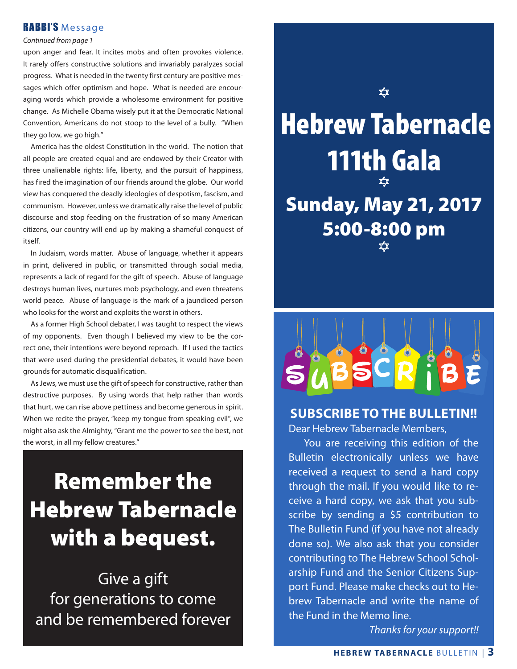### RABBI'S Message

#### *Continued from page 1*

upon anger and fear. It incites mobs and often provokes violence. It rarely offers constructive solutions and invariably paralyzes social progress. What is needed in the twenty first century are positive messages which offer optimism and hope. What is needed are encouraging words which provide a wholesome environment for positive change. As Michelle Obama wisely put it at the Democratic National Convention, Americans do not stoop to the level of a bully. "When they go low, we go high."

 America has the oldest Constitution in the world. The notion that all people are created equal and are endowed by their Creator with three unalienable rights: life, liberty, and the pursuit of happiness, has fired the imagination of our friends around the globe. Our world view has conquered the deadly ideologies of despotism, fascism, and communism. However, unless we dramatically raise the level of public discourse and stop feeding on the frustration of so many American citizens, our country will end up by making a shameful conquest of itself.

 In Judaism, words matter. Abuse of language, whether it appears in print, delivered in public, or transmitted through social media, represents a lack of regard for the gift of speech. Abuse of language destroys human lives, nurtures mob psychology, and even threatens world peace. Abuse of language is the mark of a jaundiced person who looks for the worst and exploits the worst in others.

 As a former High School debater, I was taught to respect the views of my opponents. Even though I believed my view to be the correct one, their intentions were beyond reproach. If I used the tactics that were used during the presidential debates, it would have been grounds for automatic disqualification.

 As Jews, we must use the gift of speech for constructive, rather than destructive purposes. By using words that help rather than words that hurt, we can rise above pettiness and become generous in spirit. When we recite the prayer, "keep my tongue from speaking evil", we might also ask the Almighty, "Grant me the power to see the best, not the worst, in all my fellow creatures."

## Remember the Hebrew Tabernacle with a bequest.

Give a gift for generations to come and be remembered forever





### **SUBSCRIBE TO THE BULLETIN!!** Dear Hebrew Tabernacle Members,

 You are receiving this edition of the Bulletin electronically unless we have received a request to send a hard copy through the mail. If you would like to receive a hard copy, we ask that you subscribe by sending a \$5 contribution to The Bulletin Fund (if you have not already done so). We also ask that you consider contributing to The Hebrew School Scholarship Fund and the Senior Citizens Support Fund. Please make checks out to Hebrew Tabernacle and write the name of the Fund in the Memo line.

*Thanks for your support!!*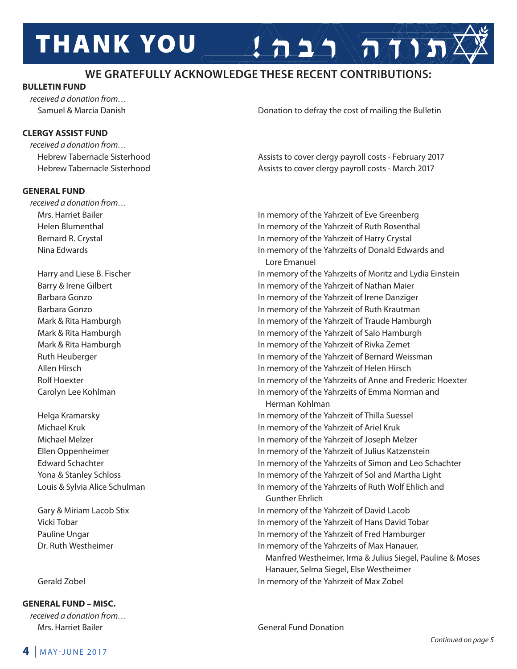# **THANK YOU**

### **WE GRATEFULLY ACKNOWLEDGE THESE RECENT CONTRIBUTIONS:**

### **BULLETIN FUND**

*received a donation from…*

### **CLERGY ASSIST FUND**

*received a donation from…*

### **GENERAL FUND**

*received a donation from…*

**GENERAL FUND – MISC.**

*received a donation from…* Mrs. Harriet Bailer General Fund Donation

Samuel & Marcia Danish Donation to defray the cost of mailing the Bulletin

 $2 \Delta 2 \Delta \sqrt{\pi N}$ 

 Hebrew Tabernacle Sisterhood Assists to cover clergy payroll costs - February 2017 Hebrew Tabernacle Sisterhood **Assists to cover clergy payroll costs - March 2017** Assists to cover clergy payroll costs - March 2017

Mrs. Harriet Bailer **In memory of the Yahrzeit of Eve Greenberg** In memory of the Yahrzeit of Eve Greenberg Helen Blumenthal In memory of the Yahrzeit of Ruth Rosenthal Bernard R. Crystal In memory of the Yahrzeit of Harry Crystal Nina Edwards In memory of the Yahrzeits of Donald Edwards and Lore Emanuel Harry and Liese B. Fischer **In memory of the Yahrzeits of Moritz and Lydia Einstein** Barry & Irene Gilbert **In memory of the Yahrzeit of Nathan Maier** In memory of the Yahrzeit of Nathan Maier Barbara Gonzo In memory of the Yahrzeit of Irene Danziger Barbara Gonzo In memory of the Yahrzeit of Ruth Krautman Mark & Rita Hamburgh In memory of the Yahrzeit of Traude Hamburgh Mark & Rita Hamburgh In memory of the Yahrzeit of Salo Hamburgh Mark & Rita Hamburgh In memory of the Yahrzeit of Rivka Zemet Ruth Heuberger In memory of the Yahrzeit of Bernard Weissman Allen Hirsch In memory of the Yahrzeit of Helen Hirsch Rolf Hoexter **In memory of the Yahrzeits of Anne and Frederic Hoexter** In memory of the Yahrzeits of Anne and Frederic Hoexter Carolyn Lee Kohlman In memory of the Yahrzeits of Emma Norman and Herman Kohlman Helga Kramarsky In memory of the Yahrzeit of Thilla Suessel Michael Kruk **In memory of the Yahrzeit of Ariel Kruk** In memory of the Yahrzeit of Ariel Kruk Michael Melzer In memory of the Yahrzeit of Joseph Melzer Ellen Oppenheimer In memory of the Yahrzeit of Julius Katzenstein Edward Schachter In memory of the Yahrzeits of Simon and Leo Schachter Yona & Stanley Schloss In memory of the Yahrzeit of Sol and Martha Light Louis & Sylvia Alice Schulman **In Markow Common In memory of the Yahrzeits of Ruth Wolf Ehlich and**  Gunther Ehrlich Gary & Miriam Lacob Stix In memory of the Yahrzeit of David Lacob Vicki Tobar In memory of the Yahrzeit of Hans David Tobar Pauline Ungar **In memory of the Yahrzeit of Fred Hamburger** In memory of the Yahrzeit of Fred Hamburger Dr. Ruth Westheimer **In memory of the Yahrzeits of Max Hanauer**, Manfred Westheimer, Irma & Julius Siegel, Pauline & Moses Hanauer, Selma Siegel, Else Westheimer

Gerald Zobel **In memory of the Yahrzeit of Max Zobel**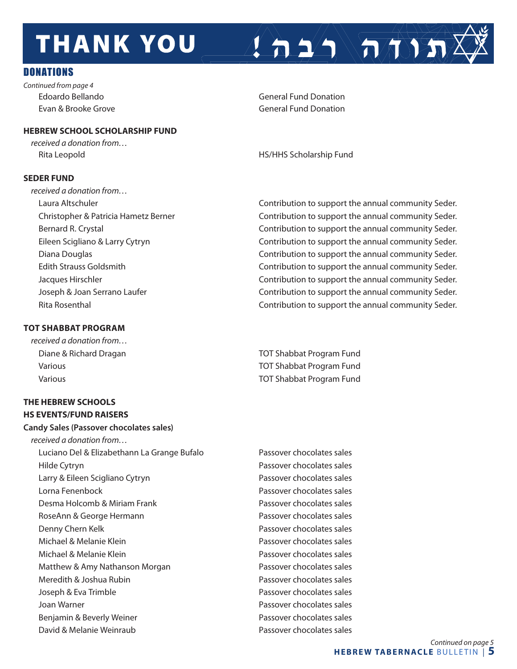# **THANK YOU**

### **DONATIONS**

*Continued from page 4*

### **HEBREW SCHOOL SCHOLARSHIP FUND**

*received a donation from…*

### **SEDER FUND**

*received a donation from…*

### **TOT SHABBAT PROGRAM**

*received a donation from…*

### **THE HEBREW SCHOOLS HS EVENTS/FUND RAISERS**

### **Candy Sales (Passover chocolates sales)**

*received a donation from…* Luciano Del & Elizabethann La Grange Bufalo Passover chocolates sales Hilde Cytryn Passover chocolates sales Larry & Eileen Scigliano Cytryn **Passover chocolates sales**  Lorna Fenenbock Passover chocolates sales Desma Holcomb & Miriam Frank Passover chocolates sales RoseAnn & George Hermann **Passover chocolates sales**  Denny Chern Kelk Passover chocolates sales Michael & Melanie Klein **Passover chocolates sales** Passover chocolates sales Michael & Melanie Klein **Passover chocolates sales** Passover chocolates sales Matthew & Amy Nathanson Morgan **Passover chocolates sales** Meredith & Joshua Rubin **Passover chocolates sales**  Joseph & Eva Trimble Passover chocolates sales Joan Warner Passover chocolates sales Benjamin & Beverly Weiner **Passover chocolates sales** David & Melanie Weinraub Passover chocolates sales

Edoardo Bellando **General Fund Donation** Evan & Brooke Grove General Fund Donation

Rita Leopold **HS/HHS Scholarship Fund** 

 Laura Altschuler Contribution to support the annual community Seder. Christopher & Patricia Hametz Berner Contribution to support the annual community Seder. Bernard R. Crystal **Contribution is a contribution** to support the annual community Seder. Eileen Scigliano & Larry Cytryn Contribution to support the annual community Seder. Diana Douglas Contribution to support the annual community Seder. Edith Strauss Goldsmith Contribution to support the annual community Seder. Jacques Hirschler **Contribution to support the annual community Seder.**  Joseph & Joan Serrano Laufer Contribution to support the annual community Seder. Rita Rosenthal Contribution to support the annual community Seder.

 $\left( \left. \right. \right. \left. \right)$   $\left( \left. \right. \right. \left. \left. \right)$ 

 Diane & Richard Dragan TOT Shabbat Program Fund Various TOT Shabbat Program Fund Various TOT Shabbat Program Fund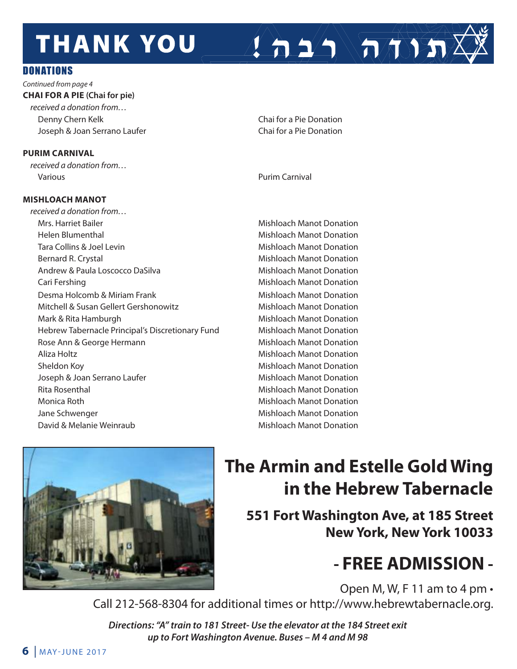# **THANK YOU**

### **DONATIONS**

*Continued from page 4* **CHAI FOR A PIE (Chai for pie)** *received a donation from…* Denny Chern Kelk Chai for a Pie Donation Joseph & Joan Serrano Laufer Chai for a Pie Donation

### **PURIM CARNIVAL**

*received a donation from…* Various Purim Carnival

### **MISHLOACH MANOT**

*received a donation from…* Mrs. Harriet Bailer Mishloach Manot Donation Helen Blumenthal Mishloach Manot Donation Tara Collins & Joel Levin Mishloach Manot Donation Bernard R. Crystal Mishloach Manot Donation Andrew & Paula Loscocco DaSilva Mishloach Manot Donation Cari Fershing **Mishloach Manot Donation** Desma Holcomb & Miriam Frank Mishloach Manot Donation Mitchell & Susan Gellert Gershonowitz **Mishloach Manot Donation**  Mark & Rita Hamburgh Mishloach Manot Donation Hebrew Tabernacle Principal's Discretionary Fund Mishloach Manot Donation Rose Ann & George Hermann **Mishloach Manot Donation** Aliza Holtz **Mishloach Manot Donation** Sheldon Koy **Mishloach Manot Donation** Mishloach Manot Donation Joseph & Joan Serrano Laufer **Mishloach Manot Donation** Rita Rosenthal **Mishloach Manot Donation**  Monica Roth Mishloach Manot Donation Jane Schwenger **Mishloach Manot Donation** Mishloach Manot Donation David & Melanie Weinraub Mishloach Manot Donation

 $\sum_{i=1}^n \sum_{j=1}^n$ 



### **The Armin and Estelle Gold Wing in the Hebrew Tabernacle**

**551 Fort Washington Ave, at 185 Street New York, New York 10033**

### **- FREE ADMISSION -**

Open M, W, F 11 am to 4 pm •

Call 212-568-8304 for additional times or http://www.hebrewtabernacle.org.

*Directions: "A" train to 181 Street- Use the elevator at the 184 Street exit up to Fort Washington Avenue. Buses – M 4 and M 98*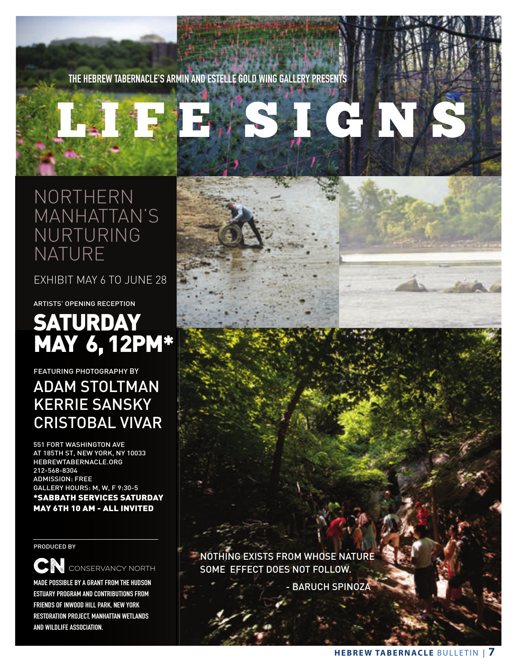**THE HEBREW TABERNACLE'S ARMIN AND ESTELLE GOLD WING GALLERY PRESENTS**

# LI F E SI G N S

NORTHERN MANHATTAN'S NURTURING NATURE

EXHIBIT MAY 6 TO JUNE 28

ARTISTS' OPENING RECEPTION

### **SATURDAY** MAY 6, 12PM\*

FEATURING PHOTOGRAPHY BY

### ADAM STOLTMAN KERRIE SANSKY CRISTOBAL VIVAR

551 FORT WASHINGTON AVE AT 185TH ST, NEW YORK, NY 10033 HEBREWTABERNACLE.ORG 212-568-8304 ADMISSION: FREE GALLERY HOURS: M, W, F 9:30-5 \*SABBATH SERVICES SATURDAY MAY 6TH 10 AM - ALL INVITED

PRODUCED BY

**CN** CONSERVANCY NORTH

**MADE POSSIBLE BY A GRANT FROM THE HUDSON ESTUARY PROGRAM AND CONTRIBUTIONS FROM FRIENDS OF INWOOD HILL PARK, NEW YORK RESTORATION PROJECT, MANHATTAN WETLANDS AND WILDLIFE ASSOCIATION.**



- BARUCH SPINOZA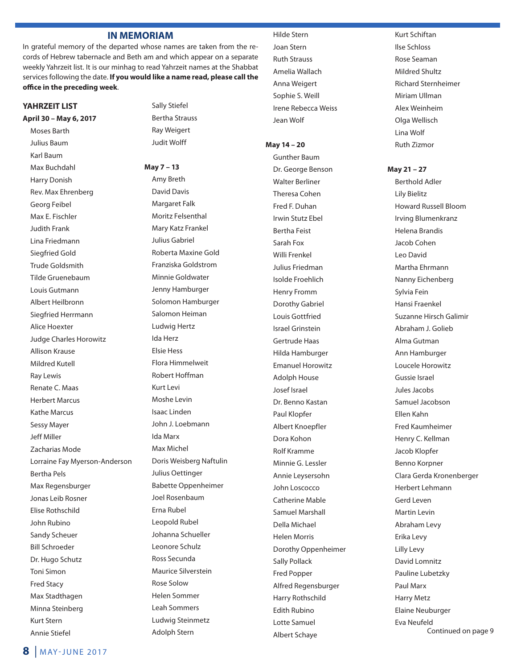#### **IN MEMORIAM**

In grateful memory of the departed whose names are taken from the records of Hebrew tabernacle and Beth am and which appear on a separate weekly Yahrzeit list. It is our minhag to read Yahrzeit names at the Shabbat services following the date. **If you would like a name read, please call the office in the preceding week**.

#### **YAHRZEIT LIST**

**April 30 – May 6, 2017**

Moses Barth Julius Baum Karl Baum Max Buchdahl Harry Donish Rev. Max Ehrenberg Georg Feibel Max E. Fischler Judith Frank Lina Friedmann Siegfried Gold Trude Goldsmith Tilde Gruenebaum Louis Gutmann Albert Heilbronn Siegfried Herrmann Alice Hoexter Judge Charles Horowitz Allison Krause Mildred Kutell Ray Lewis Renate C. Maas Herbert Marcus Kathe Marcus Sessy Mayer Jeff Miller Zacharias Mode Lorraine Fay Myerson-Anderson Bertha Pels Max Regensburger Jonas Leib Rosner Elise Rothschild John Rubino Sandy Scheuer Bill Schroeder Dr. Hugo Schutz Toni Simon Fred Stacy Max Stadthagen Minna Steinberg Kurt Stern Annie Stiefel

Sally Stiefel Bertha Strauss Ray Weigert Judit Wolff

**May 7 – 13** Amy Breth David Davis Margaret Falk Moritz Felsenthal Mary Katz Frankel Julius Gabriel Roberta Maxine Gold Franziska Goldstrom Minnie Goldwater Jenny Hamburger Solomon Hamburger Salomon Heiman Ludwig Hertz Ida Herz Elsie Hess Flora Himmelweit Robert Hoffman Kurt Levi Moshe Levin Isaac Linden John J. Loebmann Ida Marx Max Michel Doris Weisberg Naftulin Julius Oettinger Babette Oppenheimer Joel Rosenbaum Erna Rubel Leopold Rubel Johanna Schueller Leonore Schulz Ross Secunda Maurice Silverstein Rose Solow Helen Sommer Leah Sommers Ludwig Steinmetz Adolph Stern

Hilde Stern Joan Stern Ruth Strauss Amelia Wallach Anna Weigert Sophie S. Weill Irene Rebecca Weiss Jean Wolf

#### **May 14 – 20**

Gunther Baum Dr. George Benson Walter Berliner Theresa Cohen Fred F. Duhan Irwin Stutz Ebel Bertha Feist Sarah Fox Willi Frenkel Julius Friedman Isolde Froehlich Henry Fromm Dorothy Gabriel Louis Gottfried Israel Grinstein Gertrude Haas Hilda Hamburger Emanuel Horowitz Adolph House Josef Israel Dr. Benno Kastan Paul Klopfer Albert Knoepfler Dora Kohon Rolf Kramme Minnie G. Lessler Annie Leysersohn John Loscocco Catherine Mable Samuel Marshall Della Michael Helen Morris Dorothy Oppenheimer Sally Pollack Fred Popper Alfred Regensburger Harry Rothschild Edith Rubino Lotte Samuel Albert Schaye

Kurt Schiftan Ilse Schloss Rose Seaman Mildred Shultz Richard Sternheimer Miriam Ullman Alex Weinheim Olga Wellisch Lina Wolf Ruth Zizmor

**May 21 – 27**

Berthold Adler Lily Bielitz Howard Russell Bloom Irving Blumenkranz Helena Brandis Jacob Cohen Leo David Martha Ehrmann Nanny Eichenberg Sylvia Fein Hansi Fraenkel Suzanne Hirsch Galimir Abraham J. Golieb Alma Gutman Ann Hamburger Loucele Horowitz Gussie Israel Jules Jacobs Samuel Jacobson Ellen Kahn Fred Kaumheimer Henry C. Kellman Jacob Klopfer Benno Korpner Clara Gerda Kronenberger Herbert Lehmann Gerd Leven Martin Levin Abraham Levy Erika Levy Lilly Levy David Lomnitz Pauline Lubetzky Paul Marx Harry Metz Elaine Neuburger Eva Neufeld Continued on page 9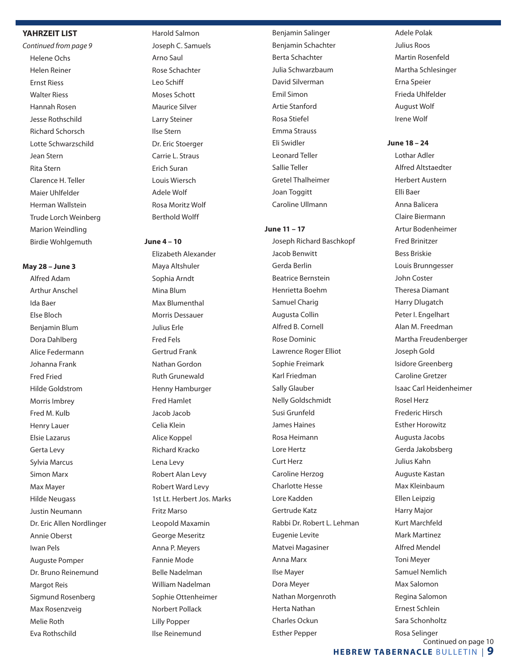#### **YAHRZEIT LIST**

*Continued from page 9* Helene Ochs Helen Reiner Ernst Riess Walter Riess Hannah Rosen Jesse Rothschild Richard Schorsch Lotte Schwarzschild Jean Stern Rita Stern Clarence H. Teller Maier Uhlfelder Herman Wallstein Trude Lorch Weinberg Marion Weindling Birdie Wohlgemuth

#### **May 28 – June 3**

Alfred Adam Arthur Anschel Ida Baer Else Bloch Benjamin Blum Dora Dahlberg Alice Federmann Johanna Frank Fred Fried Hilde Goldstrom Morris Imbrey Fred M. Kulb Henry Lauer Elsie Lazarus Gerta Levy Sylvia Marcus Simon Marx Max Mayer Hilde Neugass Justin Neumann Dr. Eric Allen Nordlinger Annie Oberst Iwan Pels Auguste Pomper Dr. Bruno Reinemund Margot Reis Sigmund Rosenberg Max Rosenzveig Melie Roth Eva Rothschild

Harold Salmon Joseph C. Samuels Arno Saul Rose Schachter Leo Schiff Moses Schott Maurice Silver Larry Steiner Ilse Stern Dr. Eric Stoerger Carrie L. Straus Erich Suran Louis Wiersch Adele Wolf Rosa Moritz Wolf Berthold Wolff

#### **June 4 – 10**

Elizabeth Alexander Maya Altshuler Sophia Arndt Mina Blum Max Blumenthal Morris Dessauer Julius Erle Fred Fels Gertrud Frank Nathan Gordon Ruth Grunewald Henny Hamburger Fred Hamlet Jacob Jacob Celia Klein Alice Koppel Richard Kracko Lena Levy Robert Alan Levy Robert Ward Levy 1st Lt. Herbert Jos. Marks Fritz Marso Leopold Maxamin George Meseritz Anna P. Meyers Fannie Mode Belle Nadelman William Nadelman Sophie Ottenheimer Norbert Pollack Lilly Popper Ilse Reinemund

Benjamin Salinger Benjamin Schachter Berta Schachter Julia Schwarzbaum David Silverman Emil Simon Artie Stanford Rosa Stiefel Emma Strauss Eli Swidler Leonard Teller Sallie Teller Gretel Thalheimer Joan Toggitt Caroline Ullmann

#### **June 11 – 17**

Joseph Richard Baschkopf Jacob Benwitt Gerda Berlin Beatrice Bernstein Henrietta Boehm Samuel Charig Augusta Collin Alfred B. Cornell Rose Dominic Lawrence Roger Elliot Sophie Freimark Karl Friedman Sally Glauber Nelly Goldschmidt Susi Grunfeld James Haines Rosa Heimann Lore Hertz Curt Herz Caroline Herzog Charlotte Hesse Lore Kadden Gertrude Katz Rabbi Dr. Robert L. Lehman Eugenie Levite Matvei Magasiner Anna Marx Ilse Mayer Dora Meyer Nathan Morgenroth Herta Nathan Charles Ockun Esther Pepper

Adele Polak Julius Roos Martin Rosenfeld Martha Schlesinger Erna Speier Frieda Uhlfelder August Wolf Irene Wolf

#### **June 18 – 24**

Lothar Adler Alfred Altstaedter Herbert Austern Elli Baer Anna Balicera Claire Biermann Artur Bodenheimer Fred Brinitzer Bess Briskie Louis Brunngesser John Coster Theresa Diamant Harry Dlugatch Peter I. Engelhart Alan M. Freedman Martha Freudenberger Joseph Gold Isidore Greenberg Caroline Gretzer Isaac Carl Heidenheimer Rosel Herz Frederic Hirsch Esther Horowitz Augusta Jacobs Gerda Jakobsberg Julius Kahn Auguste Kastan Max Kleinbaum Ellen Leipzig Harry Major Kurt Marchfeld Mark Martinez Alfred Mendel Toni Meyer Samuel Nemlich Max Salomon Regina Salomon Ernest Schlein Sara Schonholtz Rosa Selinger Continued on page 10

### **HEBREW TABERNACLE** BULLETIN | **9**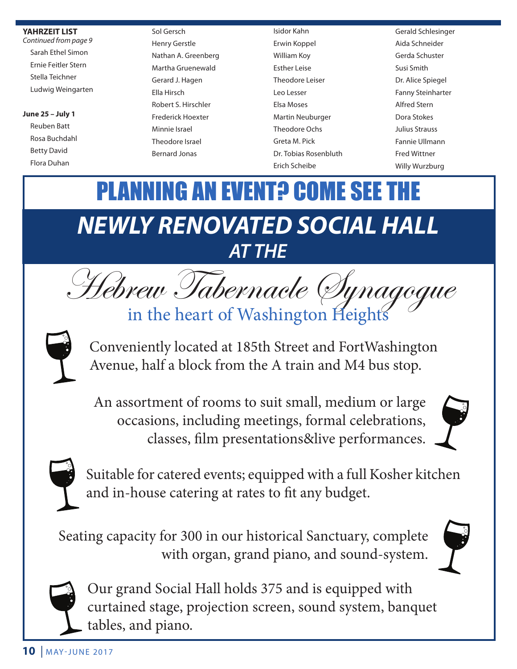### **YAHRZEIT LIST**

*Continued from page 9* Sarah Ethel Simon Ernie Feitler Stern Stella Teichner Ludwig Weingarten

### **June 25 – July 1**

Reuben Batt Rosa Buchdahl Betty David Flora Duhan

Sol Gersch Henry Gerstle Nathan A. Greenberg Martha Gruenewald Gerard J. Hagen Ella Hirsch Robert S. Hirschler Frederick Hoexter Minnie Israel Theodore Israel Bernard Jonas

Isidor Kahn Erwin Koppel William Koy Esther Leise Theodore Leiser Leo Lesser Elsa Moses Martin Neuburger Theodore Ochs Greta M. Pick Dr. Tobias Rosenbluth Erich Scheibe

Gerald Schlesinger Aida Schneider Gerda Schuster Susi Smith Dr. Alice Spiegel Fanny Steinharter Alfred Stern Dora Stokes Julius Strauss Fannie Ullmann Fred Wittner Willy Wurzburg

# *NEWLY RENOVATED SOCIAL HALL AT THE* PLANNING AN EVENT? COME SEE THE



Conveniently located at 185th Street and FortWashington Avenue, half a block from the A train and M4 bus stop.

An assortment of rooms to suit small, medium or large occasions, including meetings, formal celebrations, classes, film presentations&live performances.





Suitable for catered events; equipped with a full Kosher kitchen and in-house catering at rates to fit any budget.

Seating capacity for 300 in our historical Sanctuary, complete with organ, grand piano, and sound-system.





Our grand Social Hall holds 375 and is equipped with curtained stage, projection screen, sound system, banquet tables, and piano.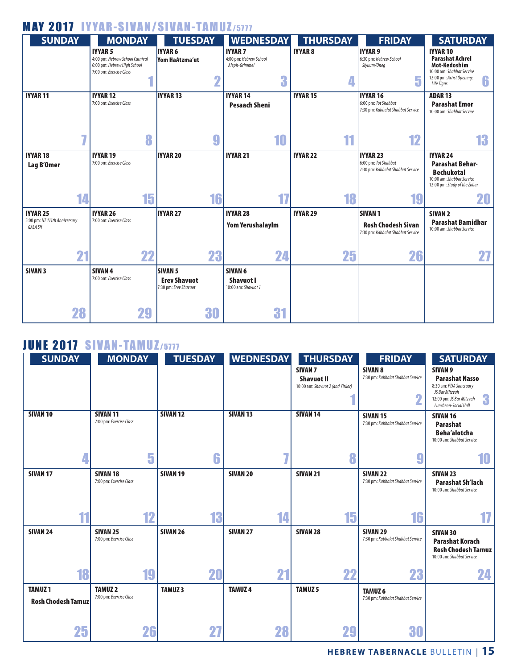### MAY 2017 IYYAR-SIVAN/SIVAN-TAMUZ/5777



### **JUNE 2017 SIVAN-TAMUZ/5777**

| <b>SUNDAY</b>                              | <b>MONDAY</b>                              | <b>TUESDAY</b>      | <b>WEDNESDAY</b>    | <b>THURSDAY</b>                                                         | <b>FRIDAY</b>                                           | <b>SATURDAY</b>                                                                                                                                   |
|--------------------------------------------|--------------------------------------------|---------------------|---------------------|-------------------------------------------------------------------------|---------------------------------------------------------|---------------------------------------------------------------------------------------------------------------------------------------------------|
|                                            |                                            |                     |                     | <b>SIVAN 7</b><br><b>Shavuot II</b><br>10:00 am: Shavuot 2 (and Yizkor) | <b>SIVAN 8</b><br>7:30 pm: Kabbalat Shabbat Service     | SIVAN <sub>9</sub><br><b>Parashat Nasso</b><br>8:30 am: FTJA Sanctuary<br>JS Bar Mitzvah<br>3<br>12:00 pm: JS Bar Mitzvah<br>Luncheon-Social Hall |
| <b>SIVAN 10</b>                            | <b>SIVAN 11</b><br>7:00 pm: Exercise Class | <b>SIVAN 12</b>     | <b>SIVAN 13</b>     | <b>SIVAN 14</b>                                                         | <b>SIVAN 15</b><br>7:30 pm: Kabbalat Shabbat Service    | <b>SIVAN 16</b><br><b>Parashat</b><br><b>Beha'alotcha</b><br>10:00 am: Shabbat Service                                                            |
| 4                                          | 5                                          | 6                   |                     | 8                                                                       | н.                                                      | 10                                                                                                                                                |
| SIVAN <sub>17</sub>                        | <b>SIVAN 18</b><br>7:00 pm: Exercise Class | SIVAN <sub>19</sub> | SIVAN <sub>20</sub> | <b>SIVAN 21</b>                                                         | <b>SIVAN 22</b><br>7:30 pm: Kabbalat Shabbat Service    | <b>SIVAN 23</b><br><b>Parashat Sh'lach</b><br>10:00 am: Shabbat Service                                                                           |
| 44                                         | 12                                         | 13                  | 14                  | 15                                                                      | 16                                                      | 17                                                                                                                                                |
| <b>SIVAN 24</b>                            | <b>SIVAN 25</b><br>7:00 pm: Exercise Class | <b>SIVAN 26</b>     | SIVAN <sub>27</sub> | <b>SIVAN 28</b>                                                         | <b>SIVAN 29</b><br>7:30 pm: Kabbalat Shabbat Service    | <b>SIVAN 30</b><br><b>Parashat Korach</b><br><b>Rosh Chodesh Tamuz</b><br>10:00 am: Shabbat Service                                               |
| 18                                         | 19                                         | 20                  | 21                  | 22                                                                      | 23                                                      | 24                                                                                                                                                |
| <b>TAMUZ1</b><br><b>Rosh Chodesh Tamuz</b> | <b>TAMUZ2</b><br>7:00 pm: Exercise Class   | <b>TAMUZ3</b>       | <b>TAMUZ4</b>       | <b>TAMUZ 5</b>                                                          | TAMUZ <sub>6</sub><br>7:30 pm: Kabbalat Shabbat Service |                                                                                                                                                   |
| 25                                         | 26                                         | 27                  | 28                  | 29                                                                      | 30                                                      |                                                                                                                                                   |